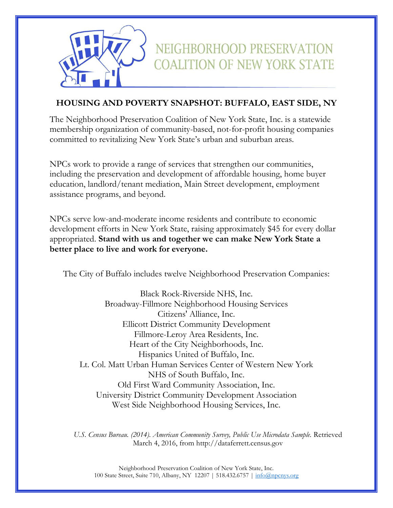

# **HOUSING AND POVERTY SNAPSHOT: BUFFALO, EAST SIDE, NY**

NEIGHBORHOOD PRESERVATION

**COALITION OF NEW YORK STATE** 

The Neighborhood Preservation Coalition of New York State, Inc. is a statewide membership organization of community-based, not-for-profit housing companies committed to revitalizing New York State's urban and suburban areas.

NPCs work to provide a range of services that strengthen our communities, including the preservation and development of affordable housing, home buyer education, landlord/tenant mediation, Main Street development, employment assistance programs, and beyond.

NPCs serve low-and-moderate income residents and contribute to economic development efforts in New York State, raising approximately \$45 for every dollar appropriated. **Stand with us and together we can make New York State a better place to live and work for everyone.**

The City of Buffalo includes twelve Neighborhood Preservation Companies:

Black Rock-Riverside NHS, Inc. Broadway-Fillmore Neighborhood Housing Services Citizens' Alliance, Inc. Ellicott District Community Development Fillmore-Leroy Area Residents, Inc. Heart of the City Neighborhoods, Inc. Hispanics United of Buffalo, Inc. Lt. Col. Matt Urban Human Services Center of Western New York NHS of South Buffalo, Inc. Old First Ward Community Association, Inc. University District Community Development Association West Side Neighborhood Housing Services, Inc.

U.S. Census Bureau. (2014). American Community Survey, Public Use Microdata Sample. Retrieved March 4, 2016, from http://dataferrett.census.gov

Neighborhood Preservation Coalition of New York State, Inc. 100 State Street, Suite 710, Albany, NY 12207 | 518.432.6757 | [info@npcnys.org](mailto:info@npcnys.org)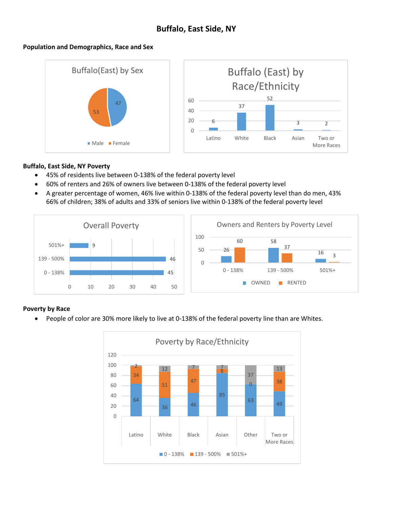# **Buffalo, East Side, NY**

#### **Population and Demographics, Race and Sex**



#### **Buffalo, East Side, NY Poverty**

- 45% of residents live between 0-138% of the federal poverty level
- 60% of renters and 26% of owners live between 0-138% of the federal poverty level
- A greater percentage of women, 46% live within 0-138% of the federal poverty level than do men, 43% 66% of children; 38% of adults and 33% of seniors live within 0-138% of the federal poverty level



# **Poverty by Race**

People of color are 30% more likely to live at 0-138% of the federal poverty line than are Whites.

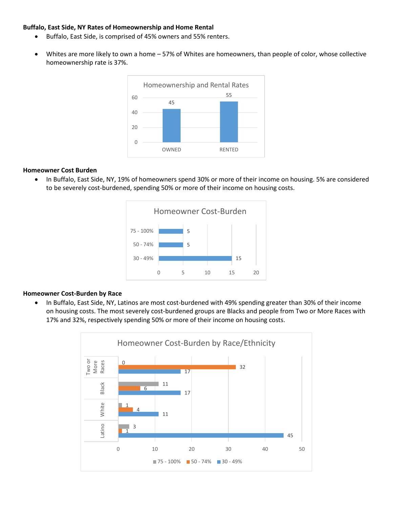#### **Buffalo, East Side, NY Rates of Homeownership and Home Rental**

- Buffalo, East Side, is comprised of 45% owners and 55% renters.
- Whites are more likely to own a home 57% of Whites are homeowners, than people of color, whose collective homeownership rate is 37%.



### **Homeowner Cost Burden**

 In Buffalo, East Side, NY, 19% of homeowners spend 30% or more of their income on housing. 5% are considered to be severely cost-burdened, spending 50% or more of their income on housing costs.



# **Homeowner Cost-Burden by Race**

• In Buffalo, East Side, NY, Latinos are most cost-burdened with 49% spending greater than 30% of their income on housing costs. The most severely cost-burdened groups are Blacks and people from Two or More Races with 17% and 32%, respectively spending 50% or more of their income on housing costs.